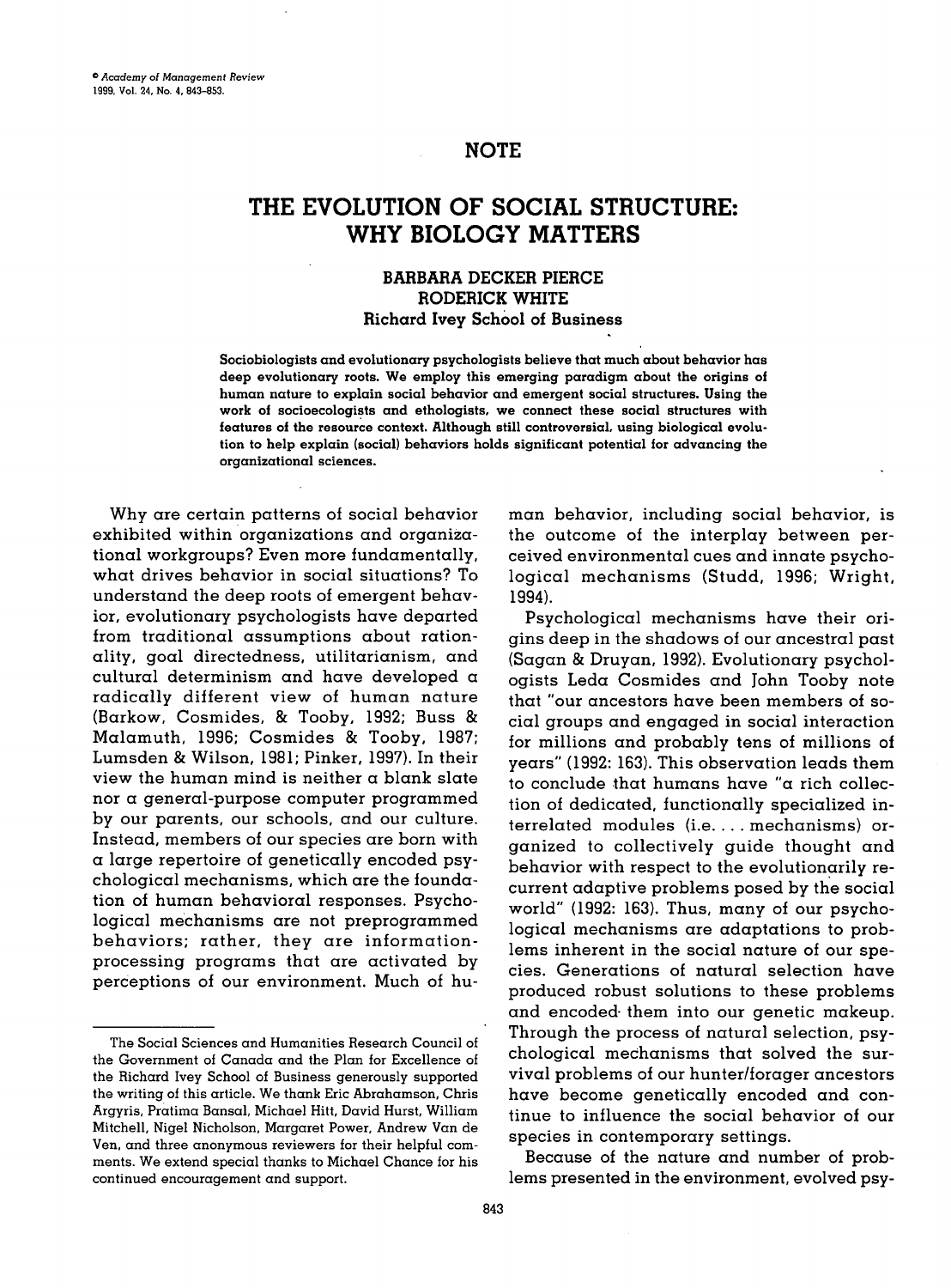## **NOTE**

# **THE EVOLUTION OF SOCIAL STRUCTURE: WHY BIOLOGY MATTERS**

## **BARBARA DECKER PIERCE RODERICK WHITE Richard Ivey School of Business**

**Sociobiologists and evolutionary psychologists believe that much about behavior has deep evolutionary roots. We employ this emerging paradigm about the origins of human nature to explain social behavior and emergent social structures. Using the work of socioecologists and ethologists, we connect these social structures with features of the resource context. Although still controversial, using biological evolution to help explain (social) behaviors holds significant potential for advancing the organizational sciences.**

Why are certain patterns of social behavior exhibited within organizations and organizational workgroups? Even more fundamentally, what drives behavior in social situations? To understand the deep roots of emergent behavior, evolutionary psychologists have departed from traditional assumptions about rationality, goal directedness, utilitarianism, and cultural determinism and have developed a radically different view of human nature (Barkow, Cosmides, & Tooby, 1992; Buss & Malamuth, 1996; Cosmides & Tooby, 1987; Lumsden & Wilson, 1981; Pinker, 1997). In their view the human mind is neither a blank slate nor a general-purpose computer programmed by our parents, our schools, and our culture. Instead, members of our species are born with a large repertoire of genetically encoded psychological mechanisms, which are the foundation of human behavioral responses. Psychological mechanisms are not preprogrammed behaviors; rather, they are informationprocessing programs that are activated by perceptions of our environment. Much of human behavior, including social behavior, is the outcome of the interplay between perceived environmental cues and innate psychological mechanisms (Studd, 1996; Wright, 1994).

Psychological mechanisms have their origins deep in the shadows of our ancestral past (Sagan & Druyan, 1992). Evolutionary psychologists Leda Cosmides and John Tooby note that "our ancestors have been members of social groups and engaged in social interaction for millions and probably tens of millions of years" (1992: 163). This observation leads them to conclude that humans have "a rich collection of dedicated, functionally specialized interrelated modules (i.e. . . . mechanisms) organized to collectively guide thought and behavior with respect to the evolutionarily recurrent adaptive problems posed by the social world" (1992: 163). Thus, many of our psychological mechanisms are adaptations to problems inherent in the social nature of our species. Generations of natural selection have produced robust solutions to these problems and encoded them into our genetic makeup. Through the process of natural selection, psychological mechanisms that solved the survival problems of our hunter/forager ancestors have become genetically encoded and continue to influence the social behavior of our species in contemporary settings.

Because of the nature and number of problems presented in the environment, evolved psy-

The Social Sciences and Humanities Research Council of the Government of Canada and the Plan for Excellence of the Richard Ivey School of Business generously supported the writing of this article. We thank Eric Abrahamson, Chris Argyris, Pratima Bansal, Michael Hitt, David Hurst, William Mitchell, Nigel Nicholson, Margaret Power, Andrew Van de Ven, and three anonymous reviewers for their helpful comments. We extend special thanks to Michael Chance for his continued encouragement and support.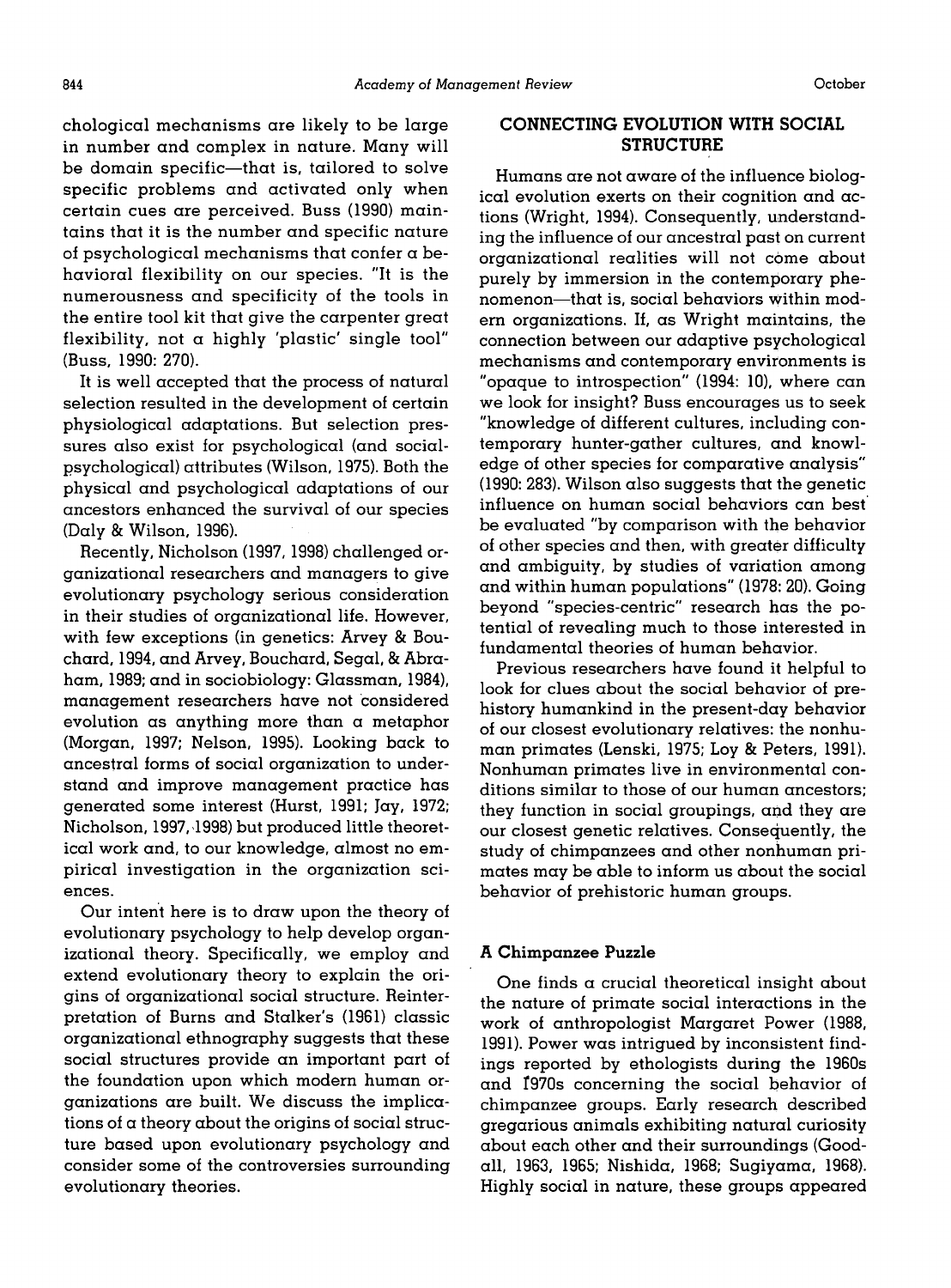chological mechanisms are likely to be large in number and complex in nature. Many will be domain specific—that is, tailored to solve specific problems and activated only when certain cues are perceived. Buss (1990) maintains that it is the number and specific nature of psychological mechanisms that confer  $\alpha$  behavioral flexibility on our species. "It is the numerousness and specificity of the tools in the entire tool kit that give the carpenter great flexibility, not a highly 'plastic' single tool" (Buss, 1990: 270).

It is well accepted that the process of natural selection resulted in the development of certain physiological adaptations. But selection pressures also exist for psychological (and socialpsychological) attributes (Wilson, 1975). Both the physical and psychological adaptations of our ancestors enhanced the survival of our species (Daly & Wilson, 1996).

Recently, Nicholson (1997, 1998) challenged organizational researchers and managers to give evolutionary psychology serious consideration in their studies of organizational life. However, with few exceptions (in genetics: Arvey & Bouchard, 1994, and Arvey, Bouchard, Segal, & Abraham, 1989; and in sociobiology: Glassman, 1984), management researchers have not considered evolution as anything more than a metaphor (Morgan, 1997; Nelson, 1995). Looking back to ancestral forms of social organization to understand and improve management practice has generated some interest (Hurst, 1991; Jay, 1972; Nicholson, 1997, 1998) but produced little theoretical work and, to our knowledge, almost no empirical investigation in the organization sciences.

Our intent here is to draw upon the theory of evolutionary psychology to help develop organizational theory. Specifically, we employ and extend evolutionary theory to explain the origins of organizational social structure. Reinterpretation of Burns and Stalker's (1961) classic organizational ethnography suggests that these social structures provide an important part of the foundation upon which modern human organizations are built. We discuss the implications of  $\alpha$  theory about the origins of social structure based upon evolutionary psychology and consider some of the controversies surrounding evolutionary theories.

## **CONNECTING EVOLUTION WITH SOCIAL STRUCTURE**

Humans are not aware of the influence biological evolution exerts on their cognition and actions (Wright, 1994). Consequently, understanding the influence of our ancestral past on current organizational realities will not come about purely by immersion in the contemporary phenomenon—that is, social behaviors within modern organizations. If, as Wright maintains, the connection between our adaptive psychological mechanisms and contemporary environments is "opaque to introspection" (1994: 10), where can we look for insight? Buss encourages us to seek "knowledge of different cultures, including contemporary hunter-gather cultures, and knowledge of other species for comparative analysis" (1990: 283). Wilson also suggests that the genetic influence on human social behaviors can best be evaluated "by comparison with the behavior of other species and then, with greater difficulty and ambiguity, by studies of variation among and within human populations" (1978: 20). Going beyond "species-centric" research has the potential of revealing much to those interested in fundamental theories of human behavior.

Previous researchers have found it helpful to look for clues about the social behavior of prehistory humankind in the present-day behavior of our closest evolutionary relatives: the nonhuman primates (Lenski, 1975; Loy & Peters, 1991). Nonhuman primates live in environmental conditions similar to those of our human ancestors; they function in social groupings, and they are our closest genetic relatives. Consequently, the study of chimpanzees and other nonhuman primates may be able to inform us about the social behavior of prehistoric human groups.

## **A Chimpanzee Puzzle**

One finds a crucial theoretical insight about the nature of primate social interactions in the work of anthropologist Margaret Power (1988, 1991). Power was intrigued by inconsistent findings reported by ethologists during the 1960s and 1970s concerning the social behavior of chimpanzee groups. Early research described gregarious animals exhibiting natural curiosity about each other and their surroundings (Goodall, 1963, 1965; Nishida, 1968; Sugiyama, 1968). Highly social in nature, these groups appeared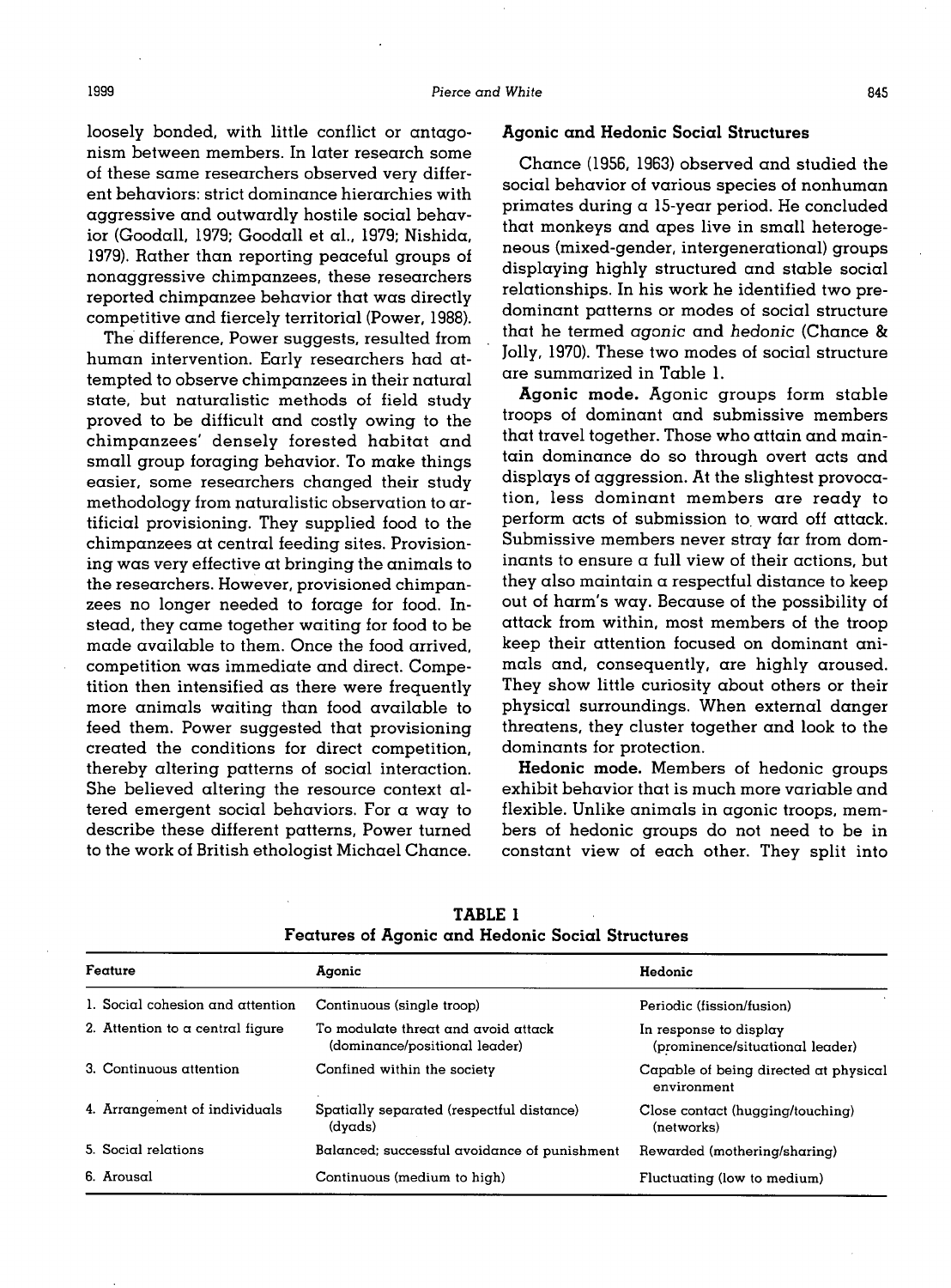loosely bonded, with little conflict or antagonism between members. In later research some of these same researchers observed very different behaviors: strict dominance hierarchies with aggressive and outwardly hostile social behavior (Goodall, 1979; Goodall et al., 1979; Nishida, 1979). Rather than reporting peaceful groups of nonaggressive chimpanzees, these researchers reported chimpanzee behavior that was directly competitive and fiercely territorial (Power, 1988).

The difference. Power suggests, resulted from human intervention. Early researchers had attempted to observe chimpanzees in their natural state, but naturalistic methods of field study proved to be difficult and costly owing to the chimpanzees' densely forested habitat and small group foraging behavior. To make things easier, some researchers changed their study methodology from naturalistic observation to artificial provisioning. They supplied food to the chimpanzees at central feeding sites. Provisioning was very effective at bringing the animals to the researchers. However, provisioned chimpanzees no longer needed to forage for food. Instead, they came together waiting for food to be made available to them. Once the food arrived, competition was immediate and direct. Competition then intensified as there were frequently more animals waiting than food available to feed them. Power suggested that provisioning created the conditions for direct competition, thereby altering patterns of social interaction. She believed altering the resource context altered emergent social behaviors. For a way to describe these different patterns. Power turned to the work of British ethologist Michael Chance.

#### **Agonic and Hedonic Social Structures**

Chance (1956, 1963) observed and studied the social behavior of various species of nonhuman primates during a 15-year period. He concluded that monkeys and apes live in small heterogeneous (mixed-gender, intergenerational) groups displaying highly structured and stable social relationships. In his work he identified two predominant patterns or modes of social structure that he termed agonic and *hedonic* (Chance & Jolly, 1970). These two modes of social structure are summarized in Table **1.**

**Agonic mode.** Agonic groups form stable troops of dominant and submissive members that travel together. Those who attain and maintain dominance do so through overt acts and displays of aggression. At the slightest provocation, less dominant members are ready to perform acts of submission to. ward off attack. Submissive members never stray far from dominants to ensure  $\alpha$  full view of their actions, but they also maintain a respectful distance to keep out of harm's way. Because of the possibility of attack from within, most members of the troop keep their attention focused on dominant animals and, consequently, are highly aroused. They show little curiosity about others or their physical surroundings. When external danger threatens, they cluster together and look to the dominants for protection.

**Hedonic mode.** Members of hedonic groups exhibit behavior that is much more variable and flexible. Unlike animals in agonic troops, members of hedonic groups do not need to be in constant view of each other. They split into

| Feature                                 | Agonic                                                               | Hedonic                                                   |
|-----------------------------------------|----------------------------------------------------------------------|-----------------------------------------------------------|
| 1. Social cohesion and attention        | Continuous (single troop)                                            | Periodic (fission/fusion)                                 |
| 2. Attention to $\alpha$ central figure | To modulate threat and avoid attack<br>(dominance/positional leader) | In response to display<br>(prominence/situational leader) |
| 3. Continuous attention                 | Confined within the society                                          | Capable of being directed at physical<br>environment      |
| 4. Arrangement of individuals           | Spatially separated (respectful distance)<br>$(d\nu \alpha ds)$      | Close contact (hugging/touching)<br>(networks)            |
| 5. Social relations                     | Balanced; successful avoidance of punishment                         | Rewarded (mothering/sharing)                              |
| 6. Arousal                              | Continuous (medium to high)                                          | Fluctuating (low to medium)                               |

**TABLE 1 Features of Agonic and Hedonic Social Structures**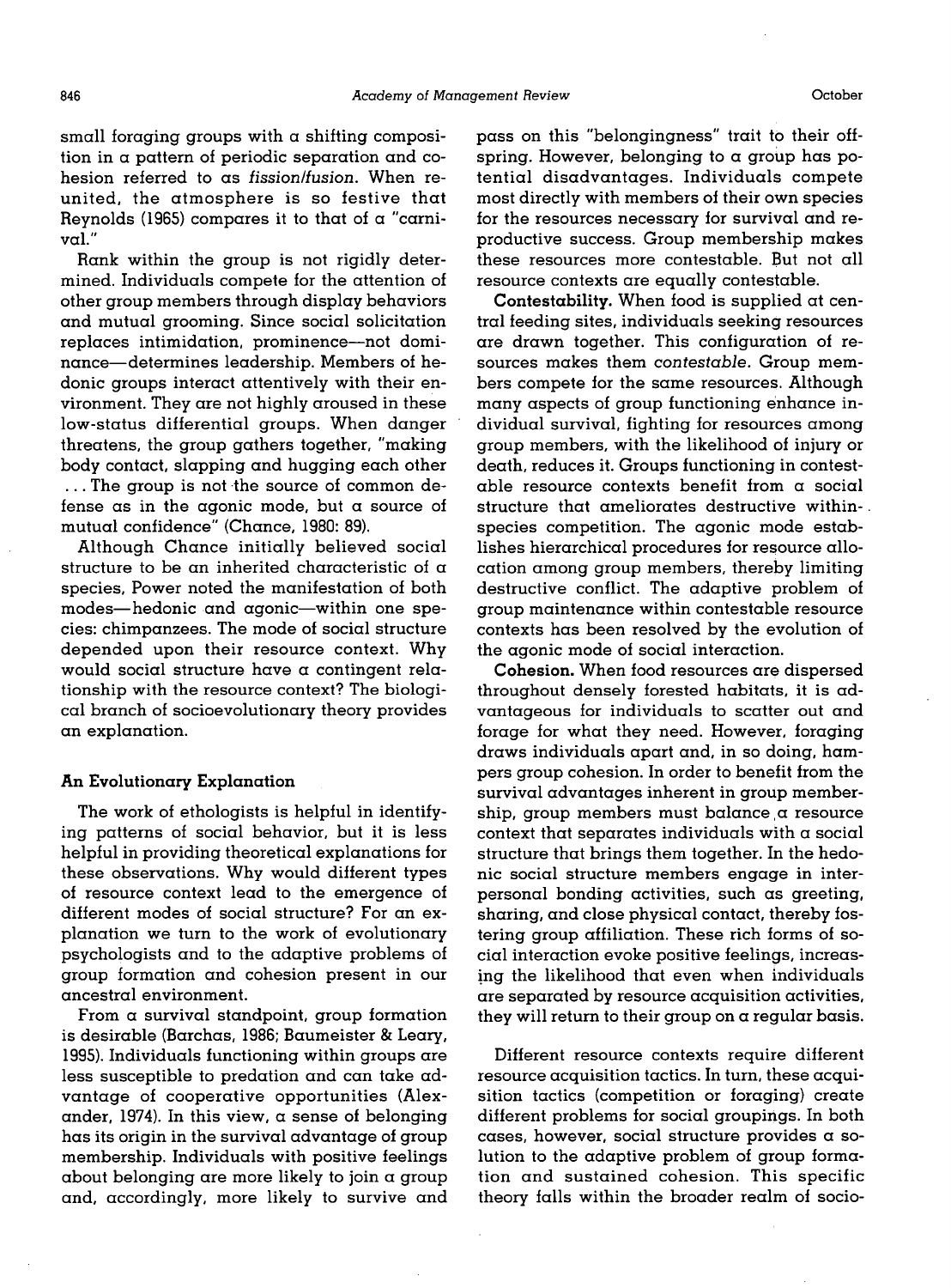small foraging groups with a shifting composition in a pattern of periodic separation and cohesion referred to as *fission/fusion.* When reunited, the atmosphere is so festive that Reynolds (1965) compares it to that of  $\alpha$  "carnival."

Rank within the group is not rigidly determined. Individuals compete for the attention of other group members through display behaviors and mutual grooming. Since social solicitation replaces intimidation, prominence—not dominance—determines leadership. Members of hedonic groups interact attentively with their environment. They are not highly aroused in these low-status differential groups. When danger threatens, the group gathers together, "making body contact, slapping and hugging each other ... The group is not the source of common defense as in the agonic mode, but a source of mutual confidence" (Chance, 1980: 89).

Although Chance initially believed social structure to be an inherited characteristic of a species. Power noted the manifestation of both modes—hedonic and agonic—within one species: chimpanzees. The mode of social structure depended upon their resource context. Why would social structure have a contingent relationship with the resource context? The biological branch of socioevolutionary theory provides an explanation.

#### **An Evolutionary Explanation**

The work of ethologists is helpful in identifying patterns of social behavior, but it is less helpful in providing theoretical explanations for these observations. Why would different types of resource context lead to the emergence of different modes of social structure? For an explanation we turn to the work of evolutionary psychologists and to the adaptive problems of group formation and cohesion present in our ancestral environment.

From  $\alpha$  survival standpoint, group formation is desirable (Barchas, 1986; Baumeister & Leary, 1995). Individuals functioning within groups are less susceptible to predation and can take advantage of cooperative opportunities (Alexander, 1974). In this view,  $\alpha$  sense of belonging has its origin in the survival advantage of group membership. Individuals with positive feelings about belonging are more likely to join a group and, accordingly, more likely to survive and pass on this "belongingness" trait to their offspring. However, belonging to a group has potential disadvantages. Individuals compete most directly with members of their own species for the resources necessary for survival and reproductive success. Group membership makes these resources more contestable. But not all resource contexts are equally contestable.

**Contestability.** When food is supplied at central feeding sites, individuals seeking resources are drawn together. This configuration of resources makes them confestabie. Group members compete for the same resources. Although many aspects of group functioning enhance individual survival, fighting for resources among group members, with the likelihood of injury or death, reduces it. Groups functioning in contestable resource contexts benefit from a social structure that ameliorates destructive within-. species competition. The agonic mode establishes hierarchical procedures for resource allocation among group members, thereby limiting destructive conflict. The adaptive problem of group maintenance within contestable resource contexts has been resolved by the evolution of the agonic mode of social interaction.

**Cohesion.** When food resources are dispersed throughout densely forested habitats, it is advantageous for individuals to scatter out and forage for what they need. However, foraging draws individuals apart and, in so doing, hampers group cohesion. In order to benefit from the survival advantages inherent in group membership, group members must balance  $\alpha$  resource context that separates individuals with a social structure that brings them together. In the hedonic social structure members engage in interpersonal bonding activities, such as greeting, sharing, and close physical contact, thereby fostering group affiliation. These rich forms of social interaction evoke positive feelings, increasing the likelihood that even when individuals are separated by resource acquisition activities, they will return to their group on  $\alpha$  regular basis.

Different resource contexts require different resource acquisition tactics. In turn, these acquisition tactics (competition or foraging) create different problems for social groupings. In both cases, however, social structure provides a solution to the adaptive problem of group formation and sustained cohesion. This specific theory falls within the broader realm of socio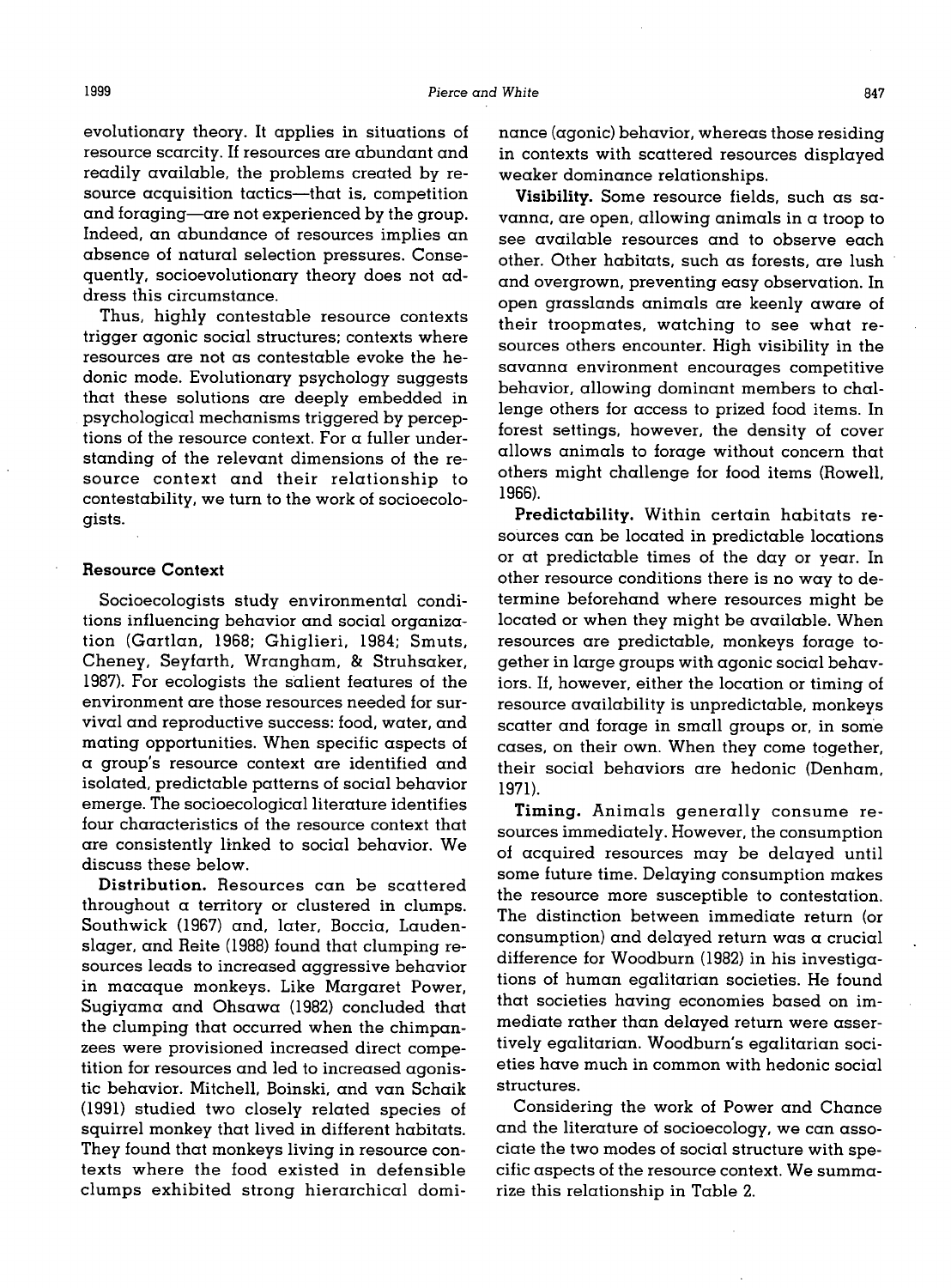evolutionary theory. It applies in situations of resource scarcity. If resources are abundant and readily available, the problems created by resource acquisition tactics—that is, competition and foraging—are not experienced by the group. Indeed, an abundance of resources implies an absence of natural selection pressures. Consequently, socioevolutionary theory does not address this circumstance.

Thus, highly contestable resource contexts trigger agonic social structures; contexts where resources are not as contestable evoke the hedonic mode. Evolutionary psychology suggests that these solutions are deeply embedded in psychological mechanisms triggered by perceptions of the resource context. For  $\alpha$  fuller understanding of the relevant dimensions of the resource context and their relationship to contestability, we turn to the work of socioecologists.

#### **Resource Context**

Socioecologists study environmental conditions influencing behavior and social organization (Gartlan, 1968; Ghiglieri, 1984; Smuts, Cheney, Seyfarth, Wrangham, & Struhsaker, 1987). For ecologists the salient features of the environment are those resources needed for survival and reproductive success: food, water, and mating opportunities. When specific aspects of a group's resource context are identified and isolated, predictable patterns of social behavior emerge. The socioecological literature identifies four characteristics of the resource context that are consistently linked to social behavior. We discuss these below.

**Distribution.** Resources can be scattered throughout a territory or clustered in clumps. Southwick (1967) and, later, Boccia, Laudenslager, and Reite (1988) found that clumping resources leads to increased aggressive behavior in macaque monkeys. Like Margaret Power, Sugiyama and Ohsawa (1982) concluded that the clumping that occurred when the chimpanzees were provisioned increased direct competition for resources and led to increased agonistic behavior. Mitchell, Boinski, and van Schaik (1991) studied two closely related species of squirrel monkey that lived in different habitats. They found that monkeys living in resource contexts where the food existed in defensible clumps exhibited strong hierarchical dominance (agonic) behavior, whereas those residing in contexts with scattered resources displayed weaker dominance relationships.

**Visibility.** Some resource fields, such as savanna, are open, allowing animals in a troop to see available resources and to observe each other. Other habitats, such as forests, are lush and overgrown, preventing easy observation. In open grasslands animals are keenly aware of their troopmates, watching to see what resources others encounter. High visibility in the savanna environment encourages competitive behavior, allowing dominant members to challenge others for access to prized food items. In forest settings, however, the density of cover allows animals to forage without concern that others might challenge for food items (Rowell, 1966).

**Predictability.** Within certain habitats resources can be located in predictable locations or at predictable times of the day or year. In other resource conditions there is no way to determine beforehand where resources might be located or when they might be available. When resources are predictable, monkeys forage together in large groups with agonic social behaviors. If, however, either the location or timing of resource availability is unpredictable, monkeys scatter and forage in small groups or, in some cases, on their own. When they come together, their social behaviors are hedonic (Denham, 1971).

**Timing.** Animals generally consume resources immediately. However, the consumption of acquired resources may be delayed until some future time. Delaying consumption makes the resource more susceptible to contestation. The distinction between immediate return (or consumption) and delayed return was a crucial difference for Woodburn (1982) in his investigations of human egalitarian societies. He found that societies having economies based on immediate rather than delayed return were assertively egalitarian. Woodburn's egalitarian societies have much in common with hedonic social structures.

Considering the work of Power and Chance and the literature of socioecology, we can associate the two modes of social structure with specific aspects of the resource context. We summarize this relationship in Table 2.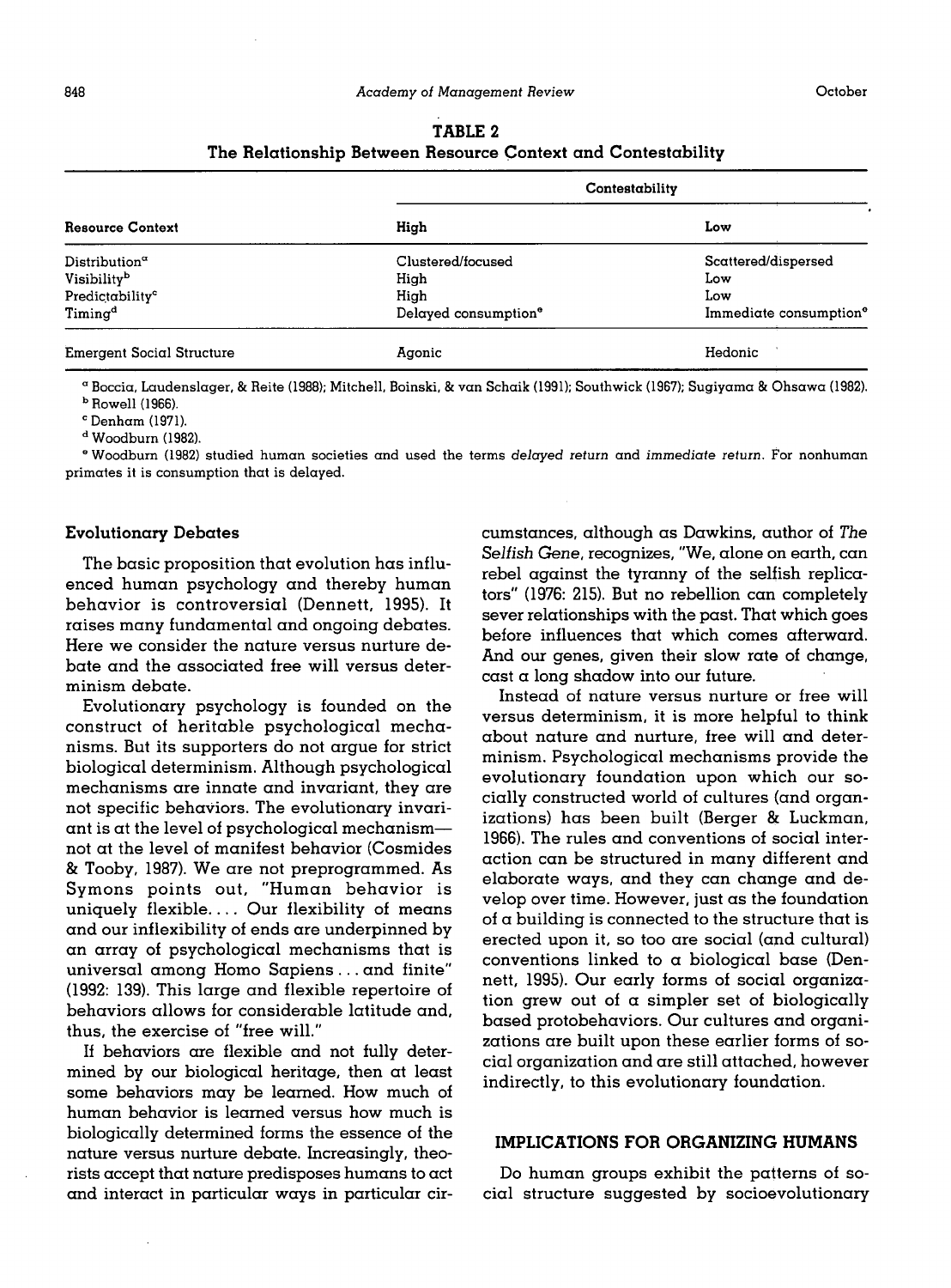| <b>Resource Context</b>          | Contestability                   |                                    |
|----------------------------------|----------------------------------|------------------------------------|
|                                  | High                             | Low                                |
| Distribution <sup>a</sup>        | Clustered/focused                | Scattered/dispersed                |
| Visibilityb                      | High                             | Low                                |
| Predictability <sup>c</sup>      | High                             | Low                                |
| $T$ iming <sup>d</sup>           | Delayed consumption <sup>®</sup> | Immediate consumption <sup>o</sup> |
| <b>Emergent Social Structure</b> | Agonic                           | Hedonic                            |

## **TABLE 2 The Relationship Between Resource Context and Contestability**

° Boccia, Laudenslager, & Reite (1988); Mitchell, Boinski, & van Schaik (1991); Southwick (1987); Sugiyama & Ohsawa (1982).

 $<sup>b</sup>$  Rowell (1966).</sup>

 $c$  Denham (1971).

 $^{\rm d}$  Woodburn (1982).

" Woodburn (1982) studied human societies and used the terms *delayed return* and *immediate return.* For nonhuman primates it is consumption that is delayed.

#### **Evolutionary Debates**

The basic proposition that evolution has influenced human psychology and thereby human behavior is controversial (Dennett, 1995). It raises many fundamental and ongoing debates. Here we consider the nature versus nurture debate and the associated free will versus determinism debate.

Evolutionary psychology is founded on the construct of heritable psychological mechanisms. But its supporters do not argue for strict biological determinism. Although psychological mechanisms are innate and invariant, they are not specific behaviors. The evolutionary invariant is at the level of psychological mechanism not at the level of manifest behavior (Cosmides & Tooby, 1987). We are not preprogrammed. As Symons points out, "Human behavior is uniquely flexible.... Our flexibility of means and our inflexibility of ends are underpinned by an array of psychological mechanisms that is universal among Homo Sapiens ... and finite" (1992: 139). This large and flexible repertoire of behaviors allows for considerable latitude and, thus, the exercise of "free will."

If behaviors are flexible and not fully determined by our biological heritage, then at least some behaviors may be learned. How much of human behavior is learned versus how much is biologically determined forms the essence of the nature versus nurture debate. Increasingly, theorists accept that nature predisposes humans to act and interact in particular ways in particular circumstances, although as Dawkins, author of *The Selfish Gene,* recognizes, "We, alone on earth, can rebel against the tyranny of the selfish replicators" (1976: 215). But no rebellion can completely sever relationships with the past. That which goes before influences that which comes afterward. And our genes, given their slow rate of change, cast a long shadow into our future.

Instead of nature versus nurture or free will versus determinism, it is more helpful to think about nature and nurture, free will and determinism. Psychological mechanisms provide the evolutionary foundation upon which our socially constructed world of cultures (and organizations) has been built (Berger & Luckman, 1966). The rules and conventions of social interaction can be structured in many different and elaborate ways, and they can change and develop over time. However, just as the foundation of a building is connected to the structure that is erected upon it, so too are social (and cultural) conventions linked to a biological base (Dennett, 1995). Our early forms of social organization grew out of  $\alpha$  simpler set of biologically based protobehaviors. Our cultures and organizations are built upon these earlier forms of social organization and are still attached, however indirectly, to this evolutionary foundation.

## **IMPLICATIONS FOR ORGANIZING HUMANS**

Do human groups exhibit the patterns of social structure suggested by socioevolutionary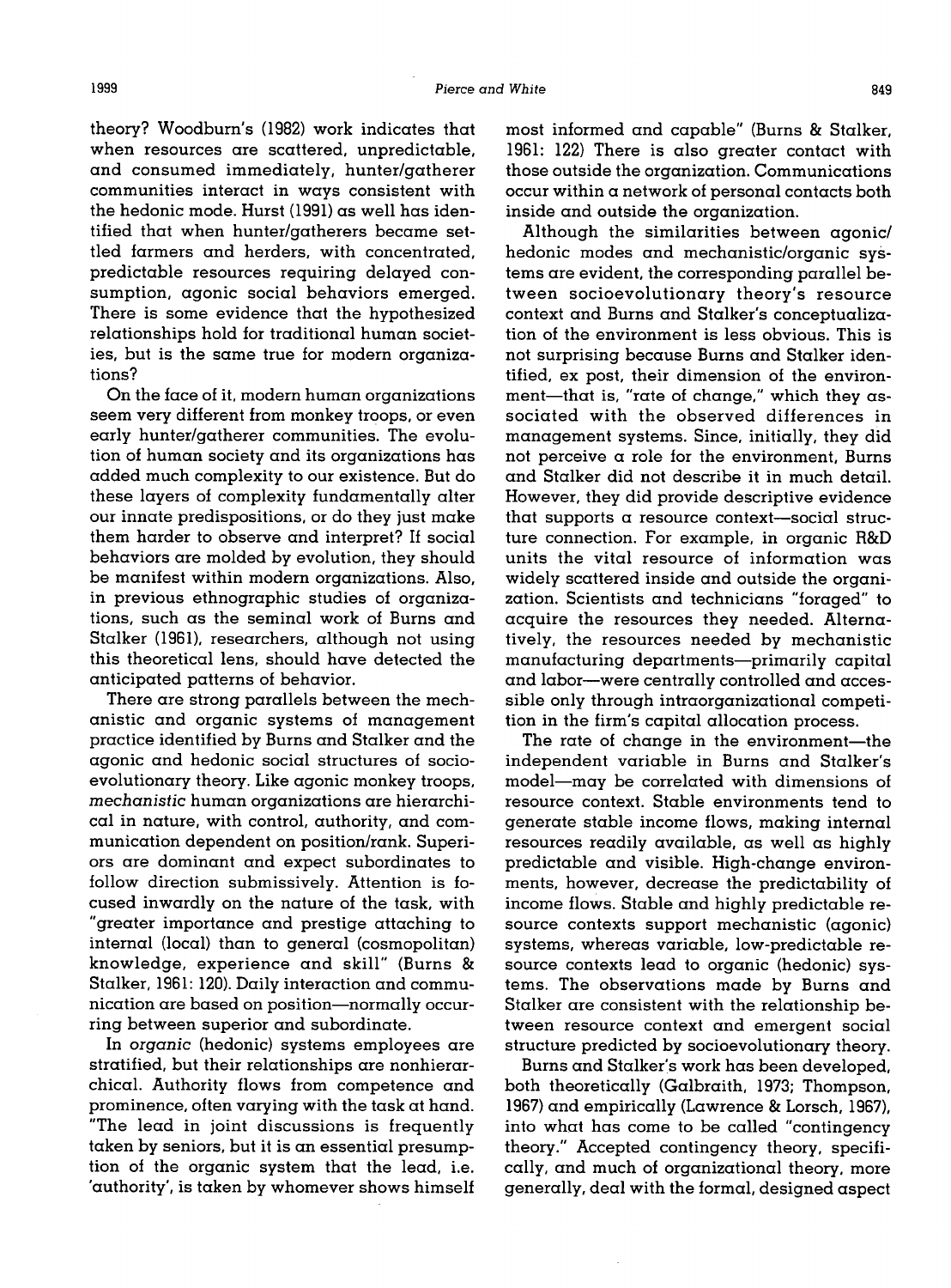theory? Woodburn's (1982) work indicates that when resources are scattered, unpredictable, and consumed immediately, hunter/gatherer communities interact in ways consistent with the hedonic mode. Hurst (1991) as well has identified that when hunter/gatherers became settled farmers and herders, with concentrated, predictable resources requiring delayed consumption, agonic social behaviors emerged. There is some evidence that the hypothesized relationships hold for traditional human societies, but is the same true for modern organizations?

On the face of it, modern human organizations seem very different from monkey troops, or even early hunter/gatherer communities. The evolution of human society and its organizations has added much complexity to our existence. But do these layers of complexity fundamentally alter our innate predispositions, or do they just make them harder to observe and interpret? If social behaviors are molded by evolution, they should be manifest within modern organizations. Also, in previous ethnographic studies of organizations, such as the seminal work of Burns and Stalker (1961), researchers, although not using this theoretical lens, should have detected the anticipated patterns of behavior.

There are strong parallels between the mechanistic and organic systems of management practice identified by Burns and Stalker and the agonic and hedonic social structures of socioevolutionary theory. Like agonic monkey troops, mechanisfic human organizations are hierarchical in nature, with control, authority, and communication dependent on position/rank. Superiors are dominant and expect subordinates to follow direction submissively. Attention is focused inwardly on the nature of the task, with "greater importance and prestige attaching to internal (local) than to general (cosmopolitan) knowledge, experience and skill" (Burns & Stalker, 1961: 120). Daily interaction and communication are based on position—normally occurring between superior and subordinate.

In *organic* (hedonic) systems employees are stratified, but their relationships are nonhierarchical. Authority flows from competence and prominence, often varying with the task at hand. "The lead in joint discussions is frequently taken by seniors, but it is an essential presumption of the organic system that the lead, i.e. 'authority', is taken by whomever shows himself most informed and capable" (Burns & Stalker, 1961: 122) There is also greater contact with those outside the organization. Communications occur within a network of personal contacts both inside and outside the organization.

Although the similarities between agonic/ hedonic modes and mechanistic/organic systems are evident, the corresponding parallel between socioevolutionary theory's resource context and Burns and Stalker's conceptualization of the environment is less obvious. This is not surprising because Burns and Stalker identified, ex post, their dimension of the environment—that is, "rate of change," which they associated with the observed differences in management systems. Since, initially, they did not perceive a role for the environment. Burns and Stalker did not describe it in much detail. However, they did provide descriptive evidence that supports a resource context—social structure connection. For example, in organic R&D units the vital resource of information was widely scattered inside and outside the organization. Scientists and technicians "foraged" to acquire the resources they needed. Alternatively, the resources needed by mechanistic manufacturing departments—primarily capital and labor—were centrally controlled and accessible only through intraorganizational competition in the firm's capital allocation process.

The rate of change in the environment—the independent variable in Burns and Stalker's model—may be correlated with dimensions of resource context. Stable environments tend to generate stable income flows, making internal resources readily available, as well as highly predictable and visible. High-change environments, however, decrease the predictability of income flows. Stable and highly predictable resource contexts support mechanistic (agonic) systems, whereas variable, low-predictable resource contexts lead to organic (hedonic) systems. The observations made by Burns and Stalker are consistent with the relationship between resource context and emergent social structure predicted by socioevolutionary theory.

Burns and Stalker's work has been developed, both theoretically (Galbraith, 1973; Thompson, 1967) and empirically (Lawrence & Lorsch, 1967), into what has come to be called "contingency theory." Accepted contingency theory, specifically, and much of organizational theory, more generally, deal with the formal, designed aspect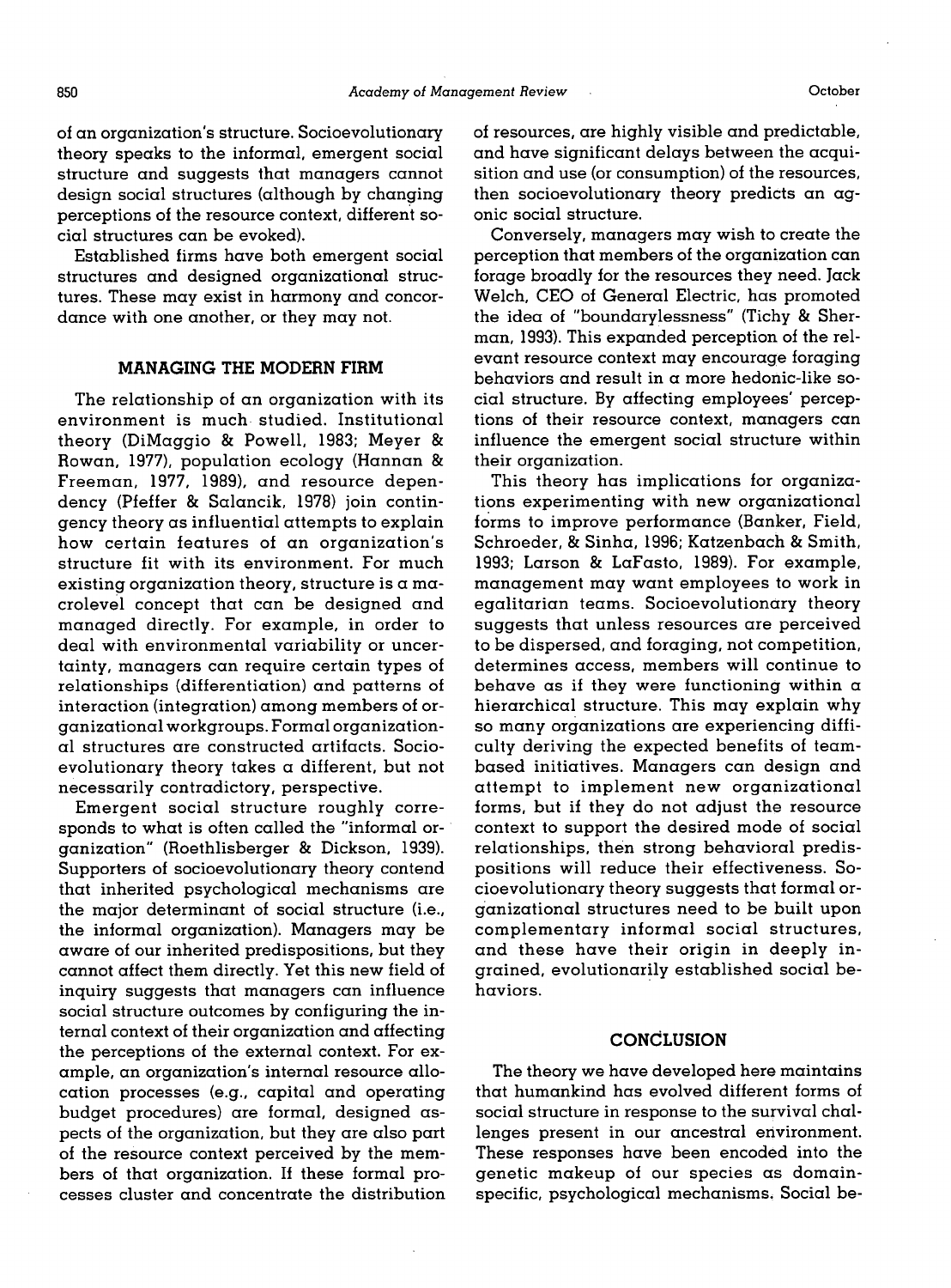of an organization's structure. Socioevolutionary theory speaks to the informal, emergent social structure and suggests that managers cannot design social structures (although by changing perceptions of the resource context, different social structures can be evoked).

Established firms have both emergent social structures and designed organizational structures. These may exist in harmony and concordance with one another, or they may not.

### **MANAGING THE MODERN FIRM**

The relationship of an organization with its environment is much studied. Institutional theory (DiMaggio & Powell, 1983; Meyer & Rowan, 1977), population ecology (Hannan & Freeman, 1977, 1989), and resource dependency (Pfeffer & Salancik, 1978) join contingency theory as influential attempts to explain how certain features of an organization's structure fit with its environment. For much existing organization theory, structure is a macrolevel concept that can be designed and managed directly. For example, in order to deal with environmental variability or uncertainty, managers can require certain types of relationships (differentiation) and patterns of interaction (integration) among members of organizational workgroups. Formal organizational structures are constructed artifacts. Socioevolutionary theory takes a different, but not necessarily contradictory, perspective.

Emergent social structure roughly corresponds to what is often called the "informal organization" (Roethlisberger & Dickson, 1939). Supporters of socioevolutionary theory contend that inherited psychological mechanisms are the major determinant of social structure (i.e., the informal organization). Managers may be aware of our inherited predispositions, but they cannot affect them directly. Yet this new field of inquiry suggests that managers can influence social structure outcomes by configuring the internal context of their organization and affecting the perceptions of the external context. For example, an organization's internal resource allocation processes (e.g., capital and operating budget procedures) are formal, designed aspects of the organization, but they are also part of the resource context perceived by the members of that organization. If these formal processes cluster and concentrate the distribution of resources, are highly visible and predictable, and have significant delays between the acquisition and use (or consumption) of the resources, then socioevolutionary theory predicts an agonic social structure.

Conversely, managers may wish to create the perception that members of the organization can forage broadly for the resources they need. Jack Welch, CEO of General Electric, has promoted the idea of "boundarylessness" (Tichy & Sherman, 1993). This expanded perception of the relevant resource context may encourage foraging behaviors and result in a more hedonic-like social structure. By affecting employees' perceptions of their resource context, managers can influence the emergent social structure within their organization.

This theory has implications for organizations experimenting with new organizational forms to improve performance (Banker, Field, Schroeder, & Sinha, 1996; Katzenbach & Smith, 1993; Larson & LaFasto, 1989). For example, management may want employees to work in egalitarian teams. Socioevolutionary theory suggests that unless resources are perceived to be dispersed, and foraging, not competition, determines access, members will continue to behave as if they were functioning within  $\alpha$ hierarchical structure. This may explain why so many organizations are experiencing difficulty deriving the expected benefits of teambased initiatives. Managers can design and attempt to implement new organizational forms, but if they do not adjust the resource context to support the desired mode of social relationships, then strong behavioral predispositions will reduce their effectiveness. Socioevolutionary theory suggests that formal organizational structures need to be built upon complementary informal social structures, and these have their origin in deeply ingrained, evolutionarily established social behaviors.

#### **CONCLUSION**

The theory we have developed here maintains that humankind has evolved different forms of social structure in response to the survival challenges present in our ancestral environment. These responses have been encoded into the genetic makeup of our species as domainspecific, psychological mechanisms. Social be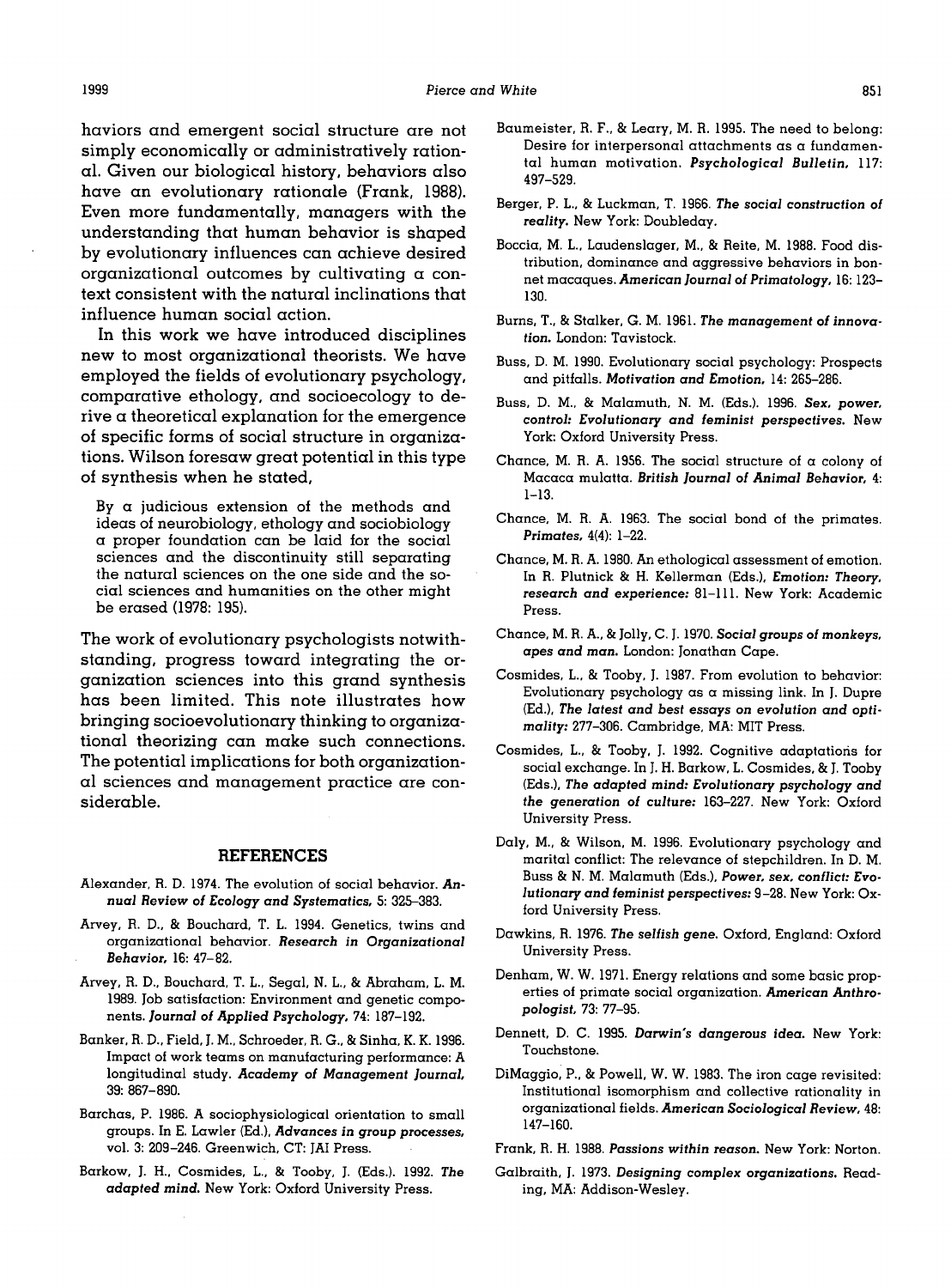haviors and emergent social structure are not simply economically or administratively rational. Given our biological history, behaviors also have an evolutionary rationale (Frank, 1988). Even more fundamentally, managers with the understanding that human behavior is shaped by evolutionary influences can achieve desired organizational outcomes by cultivating a context consistent with the natural inclinations that influence human social action.

In this work we have introduced disciplines new to most organizational theorists. We have employed the fields of evolutionary psychology, comparative ethology, and socioecology to derive  $\alpha$  theoretical explanation for the emergence of specific forms of social structure in organizations. Wilson foresaw great potential in this type of synthesis when he stated.

By  $\alpha$  judicious extension of the methods and ideas of neurobiology, ethology and sociobiology a proper foundation can be laid for the social sciences and the discontinuity still separating the natural sciences on the one side and the social sciences and humanities on the other might be erased (1978: 195).

The work of evolutionary psychologists notwithstanding, progress toward integrating the organization sciences into this grand synthesis has been limited. This note illustrates how bringing socioevolutionary thinking to organizational theorizing can make such connections. The potential implications for both organizational sciences and management practice are considerable.

#### REFERENCES

- Alexander, R. D. 1974. The evolution of social behavior. *Annual Review of Ecology and Systematics,* 5: 325-383.
- Arvey, R. D., & Bouchard, T. L. 1994. Genetics, twins and organizational behavior. *Research* in Organizational Behavior, 18: 47-82.
- Arvey, R. D., Bouchard, T. L., Segal, N. L., & Abraham, L. M. 1989. Job satisfaction: Environment and genetic components. *Journal of Applied Psychology,* 74: 187-192.
- Banker, R. D., Field, J. M., Schroeder, R. G., & Sinha, K. K. 1998. Impact of work teams on manufacturing performance: A longitudinal study. *Academy of Management Journal,* 39: 887-890.
- Barchas, P. 1988. A sociophysiological orientation to small groups. In E. Lawler (Ed.), *Advances* in group processes, vol. 3: 209-248. Greenwich, CT: JAI Press.
- Barkow, J. H., Cosmides, L., & Tooby, J. (Eds.). 1992. *The adapted mind.* New York: Oxford University Press.
- Baumeister, R. F., & Leary, M. R. 1995. The need to belong: Desire for interpersonal attachments as a fundamental human motivation. *Psychological Bulletin,* 117: 497-529.
- Berger, P. L., & Luckman, T. 1988. *The social construction of reality.* New York: Doubleday.
- Boccia, M. L., Laudenslager, M., & Reite, M. 1988. Food distribution, dominance and aggressive behaviors in bonnet macaques. American *Journal of Primatology,* 18: 123- 130.
- Burns, T., & Stalker, G. M. 1981. *The management of* innovation. London: Tavistock.
- Buss, D. M. 1990. Evolutionary social psychology: Prospects and pitfalls. Mofivafion and Emotion. 14: 285-288.
- Buss, D. M., & Malamuth, N. M. (Eds.). 1996. Sex, power, control: Evo/ufionary and *feminist perspectives.* New York: Oxford University Press.
- Chance, M. R. A. 1956. The social structure of  $\alpha$  colony of Macaca mulatta. **British** *Journal of Animal Behavior,* **4:** 1-13.
- Chance, M. R. A. 1983. The social bond of the primates. *Primates,* 4(4): 1-22.
- Chance, M. R. A. 1980. An ethological assessment of emotion. In R. Plutnick & H. Kellerman (Eds.), Emotion: Theory, *research and experience:* 81-111. New York: Academic Press.
- Chance, M. R. A., & Jolly. C. J. 1970. Social groups *of monkeys, apes and man.* London: Jonathan Cape.
- Cosmides, L., & Tooby, J. 1987. From evolution to behavior: Evolutionary psychology as a missing link. In J. Dupre (Ed.), *The latest and best essays* on evolution and opti*mality:* 277-308. Cambridge, MA: MIT Press.
- Cosmides, L., & Tooby, J. 1992. Cognitive adaptations for social exchange. In J. H. Barkow, L. Cosmides, & J. Tooby **(Eds.),** *The adapted mind: Evolutionary psychology and the generation of culture:* 163-227. New York: Oxford University Press.
- Daly, M., & Wilson, M. 1998. Evolutionary psychology and marital conflict: The relevance of stepchildren. In D. M. Buss & N. M. Malamuth (Eds.), Power, sex, *conflict: Evolutionary and feminist perspectives:* 9-28. New York: Oxford University Press.
- Dawkins, R. 1976. The selfish gene. Oxford, England: Oxford University Press.
- Denham, W. W. 1971. Energy relations and some basic properties of primate social organization. *American Anthropologist,* 73: 77-95.
- Dennett, D. C. 1995. *Darwin's dangerous idea.* New York: Touchstone.
- DiMaggio, P., & Powell, W. W. 1983. The iron cage revisited: Institutional isomorphism and collective rationality in organizational fields. *American Sociological Review,* **48:** 147-160.
- Frank, R. H. 1988. Passions within reason. New York: Norton.
- Galbraith, J. 1973. Designing complex organizations. Reading, MA: Addison-Wesley.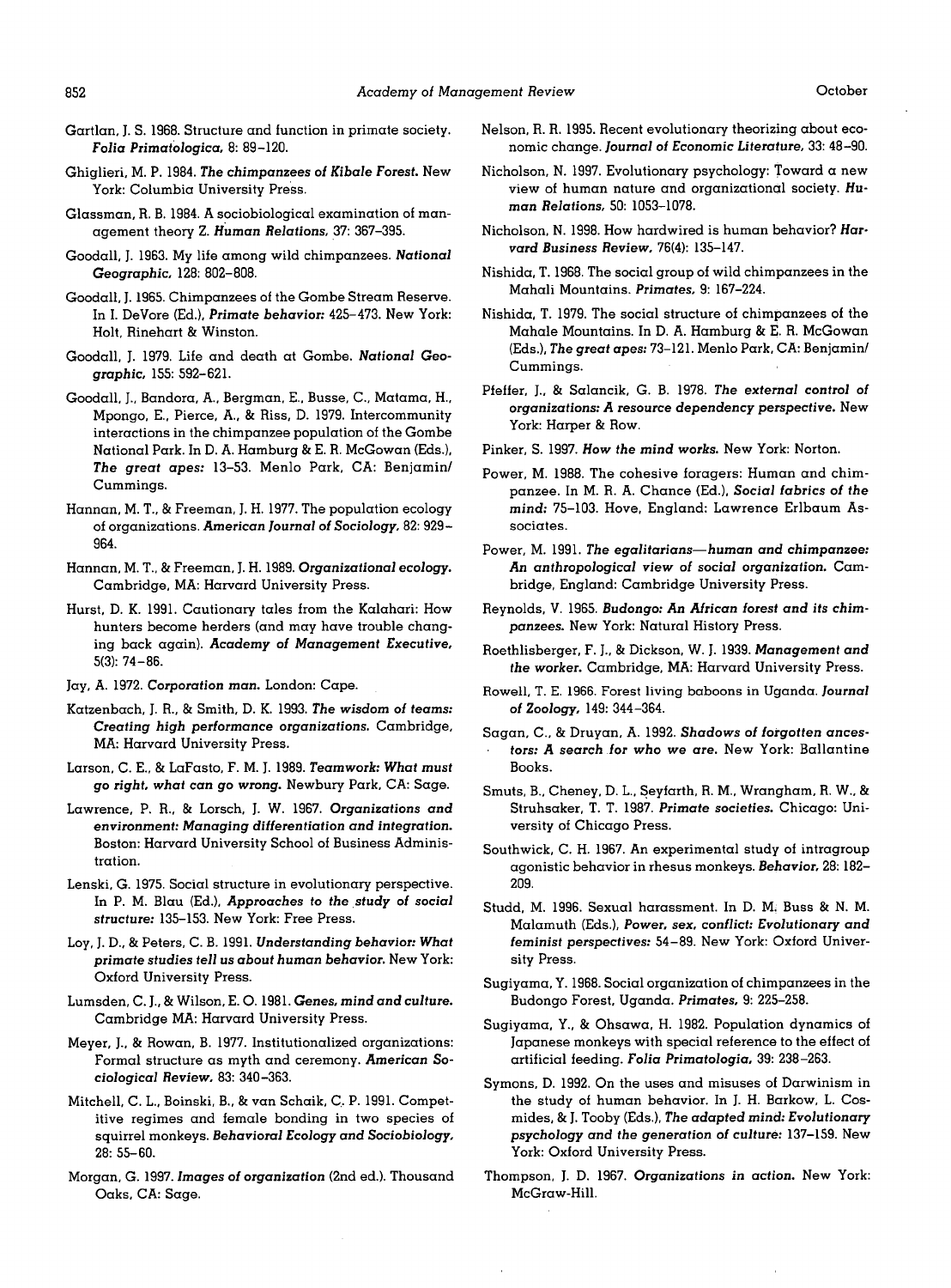- Gartlan, J. S. 1968. Structure and function in primate society. **Folia** *Primatologica,* 8: 89-120.
- **Ghiglieri, M. P. 1984.** *The chimpanzees of Kibale Forest.* New York: Columbia University Press.
- Glassman, R. B. 1984. A sociobiological examination of management theory Z. **Human** *Relations,* 37: 367-395.
- Goodall. J. 1983. My life among wild chimpanzees. *National Geographic,* 128: 802-808.
- Goodall, J. 1965. Chimpanzees of the Gombe Stream Reserve. In I. DeVore (Ed.), *Primate behavior:* 425-473. New York: Holt, Rinehart & Winston.
- Goodall, J. 1979. Life and death at Gombe. National Geo**graphic,** 155: 592-821.
- Goodall, J., Bandora, A., Bergman, E., Busse, C, Matama, H., Mpongo, E., Pierce, A., & Riss, D. 1979. Intercommunity interactions in the chimpanzee population of the Gombe National Park. In D. A. Hamburg & E. R. McGowan (Eds.), *The great apes:* 13-53. Menlo Park, CA: Benjamin/ Cummings.
- Hannan, M. T., & Freeman, J. H. 1977. The population ecology of organizations. **American** *Journal of Sociology.* 82: 929- 964.
- Hannan, M. T., & Freeman, J. H. 1989. Organizational ecology. Cambridge, MA: Harvard University Press.
- Hurst, D. K. 1991. Cautionary tales from the Kalahari: How hunters become herders (and may have trouble changing back again). *Academy of Management Executive.* 5(3): 74-86.
- Jay, A. 1972. **Corporafion** *man.* London: Cape.
- Katzenbach, J. R., & Smith, D. K. 1993. *The wisdom of teams: Creating high performance organizations.* Cambridge, MA: Harvard University Press.
- Larson, C. E., & LaFasto, F. M. J. 1989. **Teamwort;** *What must go right, what can go wrong.* **Newbury Park, CA:** Sage.
- Lawrence, P. R., & Lorsch, J. W. 1967. **Organizations and environment: Managing** *differentiation and integration.* Boston: Harvard University School of Business Administration.
- Lenski, G. 1975. Social structure in evolutionary perspective. In P. M. Blau (Ed.), **Approaches to** *the study of social structure:* 135-153. New York: Free Press.
- Loy, J. D., & Peters, C. B. 1991. **Understanding behavior:** *What primate studies tell us about human behavior.* New York: Oxford University Press.
- Lumsden, C. J., & Wilson, E. 0.1981. **Genes, mind and culture.** Cambridge MA: Harvard University Press.
- Meyer, J., & Rowan, B. 1977. Institutionalized organizations: Formal structure as myth and ceremony. **American Sociological fleview,** 83: 340-363.
- Mitchell, C. L., Boinski, B., & van Schaik, C. P. 1991. Competitive regimes and female bonding in two species of squirrel monkeys. *Behavioral Ecology and Sociobiology,* 28: 55-60.
- Morgan, G. 1997. *Images of organization* (2nd ed.). Thousand Oaks, CA: Sage.
- Nelson, R. R. 1995. Recent evolutionary theorizing about economic change. *Journal of Economic Literature,* **33: 48-90.**
- Nicholson, N. 1997. Evolutionary psychology: Toward a new view of human nature and organizational society. **Human flelations,** 50: 1053-1078.
- Nicholson, N. 1998. How hardwired is human behavior? *Harvard Business Review,* **76(4): 135-147.**
- Nishida, T. 1968. The social group of wild chimpanzees in the Mahali Mountains. *Primates,* 9: 167-224.
- Nishida, T. 1979. The social structure of chimpanzees of the Mahale Mountains. In D. A. Hamburg & E. R. McGowan (Eds.), *The great apes:* 73-121. Menlo Park, CA: Benjamin/ Cummings.
- Pfeffer, J., & Salancik, **G.** B. 1978. **The** *external control of organizations: A resource dependency perspective.* New York: Harper & Row.
- Pinker, S. 1997. **How** *the mind works.* New York: Norton.
- Power, M. 1988. The cohesive foragers: Human and chimpanzee. In M. R. A. Chance (Ed.), **Social** *fabrics of the mind:* 75-103. Hove, England: Lawrence Eribaum Associates.
- Power, M. 1991. **The** *egalitarians*—**human and chimpanzee: An anthropological view** *of social organization.* Cambridge, England: Cambridge University Press.
- Reynolds, V. 1985. **Budongo: An** *Airican forest and its chimpanzees.* New York: Natural History Press.
- Roethlisberger, F. J., & Dickson, W. J. 1939. *Management and the worker.* Cambridge, MA: Harvard University Press.
- Rowell, T. E. 1966. Forest living baboons in Uganda. *Journal of Zoology,* 149: 344-364.
- Sagan, C, & Druyan, A. 1992. **Shadows** *of forgotten ancestors: A search for who we are.* **New York: Ballantine** Books.
- Smuts, B., Cheney, D. L, Seyfarth, R. M., Wrangham, **R. W.,** & Struhsaker, T. T. 1987. *Primate societies.* Chicago: University of Chicago Press.
- Southwick, C. H. 1967. An experimental study of intragroup agonistic behavior in rhesus monkeys. **Behavior,** 28: 182- 209.
- Studd, M. 1996. Sexual harassment. In D. M. Buss & N. M. Malamuth (Eds.), **Power, sex,** *conflict: Evolutionary and feminist perspectives:* 54-89. New York: Oxford University Press.
- Sugiyama, Y. 1968. Social organization of chimpanzees in the Budongo Forest, Uganda. *Primates,* 9: 225-258.
- Sugiyama, Y., & Ohsawa, H. 1982. Population dynamics of Japanese monkeys with special reference to the effect of artificial feeding. *Folia Primatologia,* 39: 238-263.
- Symons, D. 1992. On the uses and misuses of Darwinism in the study of human behavior. In J. H. Barkow, L. Cosmides, & **J.** Tooby (Eds.), *The adapted mind: Evolutionary psychology and the generation of culture:* **137-159. New** York: Oxford University Press.
- Thompson, **J.** D. 1967. **Organizations in action.** New York: McGraw-Hill.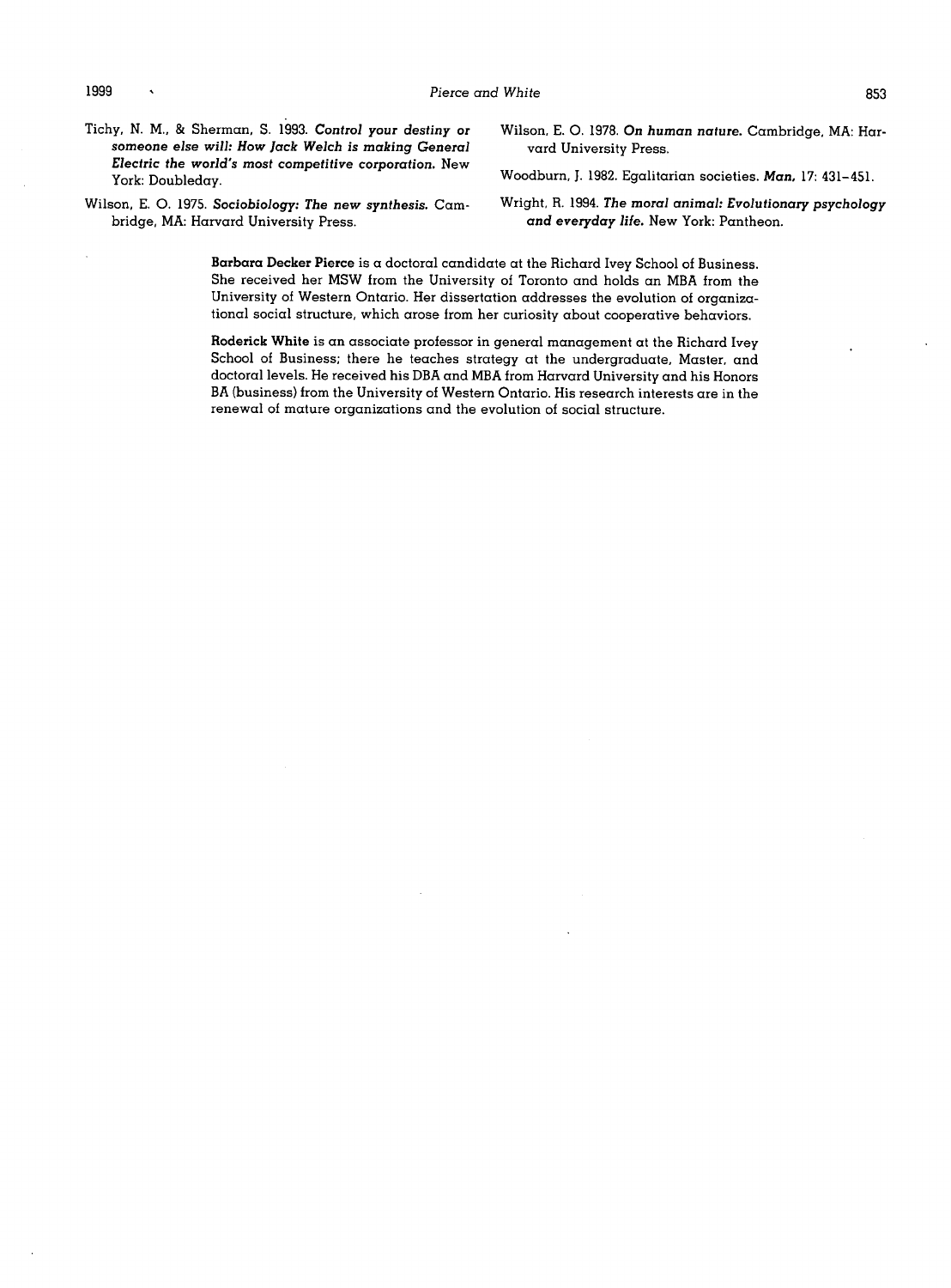- Wilson, E. O. 1975. **Sociobioiogy;** *The new synthesis.* Cam- Wright, R. 1994. *The moral animal: Evolutionary psychology*
- Tichy, N. M., & Sherman, S. 1993. *Control your destiny or* Wilson, E. O. 1978. **On human nature.** Cambridge, MA: Har-

York: Doubleday. Woodburn, J. 1982. Egalitarian societies. **Man,** 17: 431-451.

and everyday life. New York: Pantheon.

**Barbara Decker Pierce** is a doctoral candidate at the Richard Ivey School of Business. She received her MSW irom the University of Toronto and holds an MBA from the University of Western Ontario. Her dissertation addresses the evolution of organizational social structure, which arose from her curiosity about cooperative behaviors.

**Roderick White** is an associate professor in general management at the Richard Ivey School of Business; there he teaches strategy at the undergraduate, Master, and doctoral levels. He received his DBA and MBA from Harvard University and his Honors BA (business) from the University of Western Ontario. His research interests are in the renewal of mature organizations and the evolution of social structure.